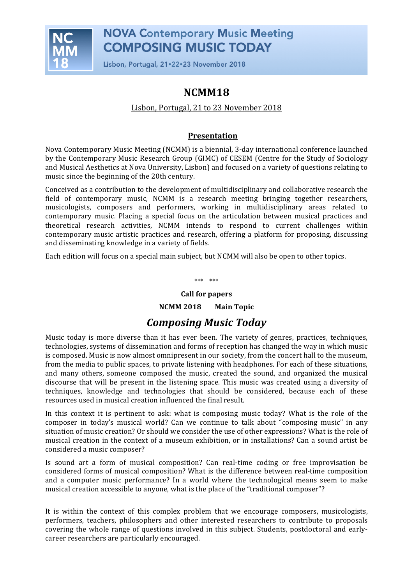

Lisbon, Portugal, 21.22.23 November 2018

## **NCMM18**

### Lisbon, Portugal, 21 to 23 November 2018

### **Presentation**

Nova Contemporary Music Meeting (NCMM) is a biennial, 3-day international conference launched by the Contemporary Music Research Group (GIMC) of CESEM (Centre for the Study of Sociology and Musical Aesthetics at Nova University, Lisbon) and focused on a variety of questions relating to music since the beginning of the 20th century.

Conceived as a contribution to the development of multidisciplinary and collaborative research the field of contemporary music, NCMM is a research meeting bringing together researchers, musicologists, composers and performers, working in multidisciplinary areas related to contemporary music. Placing a special focus on the articulation between musical practices and theoretical research activities, NCMM intends to respond to current challenges within contemporary music artistic practices and research, offering a platform for proposing, discussing and disseminating knowledge in a variety of fields.

Each edition will focus on a special main subject, but NCMM will also be open to other topics.

\*\*\* \*\*\*

#### **Call for papers**

**NCMM 2018** Main Topic

### *Composing Music Today*

Music today is more diverse than it has ever been. The variety of genres, practices, techniques, technologies, systems of dissemination and forms of reception has changed the way in which music is composed. Music is now almost omnipresent in our society, from the concert hall to the museum, from the media to public spaces, to private listening with headphones. For each of these situations, and many others, someone composed the music, created the sound, and organized the musical discourse that will be present in the listening space. This music was created using a diversity of techniques, knowledge and technologies that should be considered, because each of these resources used in musical creation influenced the final result.

In this context it is pertinent to ask: what is composing music today? What is the role of the composer in today's musical world? Can we continue to talk about "composing music" in any situation of music creation? Or should we consider the use of other expressions? What is the role of musical creation in the context of a museum exhibition, or in installations? Can a sound artist be considered a music composer?

Is sound art a form of musical composition? Can real-time coding or free improvisation be considered forms of musical composition? What is the difference between real-time composition and a computer music performance? In a world where the technological means seem to make musical creation accessible to anyone, what is the place of the "traditional composer"?

It is within the context of this complex problem that we encourage composers, musicologists, performers, teachers, philosophers and other interested researchers to contribute to proposals covering the whole range of questions involved in this subject. Students, postdoctoral and earlycareer researchers are particularly encouraged.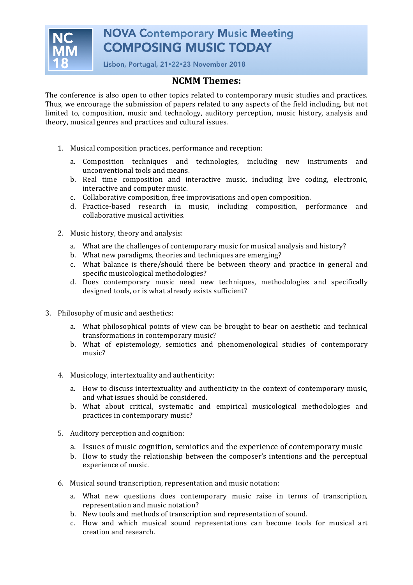

Lisbon, Portugal, 21.22.23 November 2018

#### **NCMM Themes:**

The conference is also open to other topics related to contemporary music studies and practices. Thus, we encourage the submission of papers related to any aspects of the field including, but not limited to, composition, music and technology, auditory perception, music history, analysis and theory, musical genres and practices and cultural issues.

- 1. Musical composition practices, performance and reception:
	- a. Composition techniques and technologies, including new instruments and unconventional tools and means.
	- b. Real time composition and interactive music, including live coding, electronic, interactive and computer music.
	- c. Collaborative composition, free improvisations and open composition.
	- d. Practice-based research in music, including composition, performance and collaborative musical activities.
- 2. Music history, theory and analysis:
	- a. What are the challenges of contemporary music for musical analysis and history?
	- b. What new paradigms, theories and techniques are emerging?
	- c. What balance is there/should there be between theory and practice in general and specific musicological methodologies?
	- d. Does contemporary music need new techniques, methodologies and specifically designed tools, or is what already exists sufficient?
- 3. Philosophy of music and aesthetics:
	- a. What philosophical points of view can be brought to bear on aesthetic and technical transformations in contemporary music?
	- b. What of epistemology, semiotics and phenomenological studies of contemporary music?
	- 4. Musicology, intertextuality and authenticity:
		- a. How to discuss intertextuality and authenticity in the context of contemporary music, and what issues should be considered.
		- b. What about critical, systematic and empirical musicological methodologies and practices in contemporary music?
	- 5. Auditory perception and cognition:
		- a. Issues of music cognition, semiotics and the experience of contemporary music
		- b. How to study the relationship between the composer's intentions and the perceptual experience of music.
	- 6. Musical sound transcription, representation and music notation:
		- a. What new questions does contemporary music raise in terms of transcription, representation and music notation?
		- b. New tools and methods of transcription and representation of sound.
		- c. How and which musical sound representations can become tools for musical art creation and research.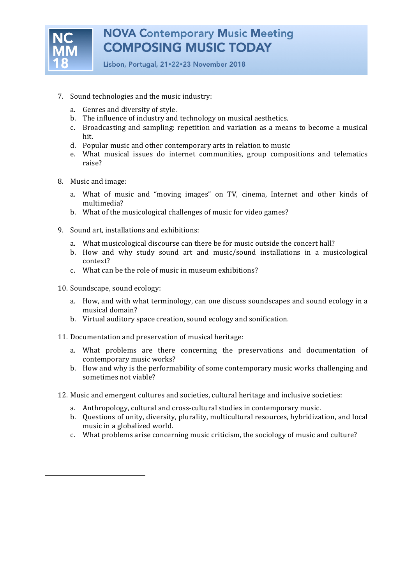

Lisbon, Portugal, 21.22.23 November 2018

- 7. Sound technologies and the music industry:
	- a. Genres and diversity of style.
	- b. The influence of industry and technology on musical aesthetics.
	- c. Broadcasting and sampling: repetition and variation as a means to become a musical hit.
	- d. Popular music and other contemporary arts in relation to music
	- e. What musical issues do internet communities, group compositions and telematics raise?
- 8. Music and image:
	- a. What of music and "moving images" on TV, cinema, Internet and other kinds of multimedia?
	- b. What of the musicological challenges of music for video games?
- 9. Sound art, installations and exhibitions:
	- a. What musicological discourse can there be for music outside the concert hall?
	- b. How and why study sound art and music/sound installations in a musicological context?
	- c. What can be the role of music in museum exhibitions?
- 10. Soundscape, sound ecology:
	- a. How, and with what terminology, can one discuss soundscapes and sound ecology in a musical domain?
	- b. Virtual auditory space creation, sound ecology and sonification.
- 11. Documentation and preservation of musical heritage:
	- a. What problems are there concerning the preservations and documentation of contemporary music works?
	- b. How and why is the performability of some contemporary music works challenging and sometimes not viable?
- 12. Music and emergent cultures and societies, cultural heritage and inclusive societies:
	- a. Anthropology, cultural and cross-cultural studies in contemporary music.
	- b. Ouestions of unity, diversity, plurality, multicultural resources, hybridization, and local music in a globalized world.
	- c. What problems arise concerning music criticism, the sociology of music and culture?